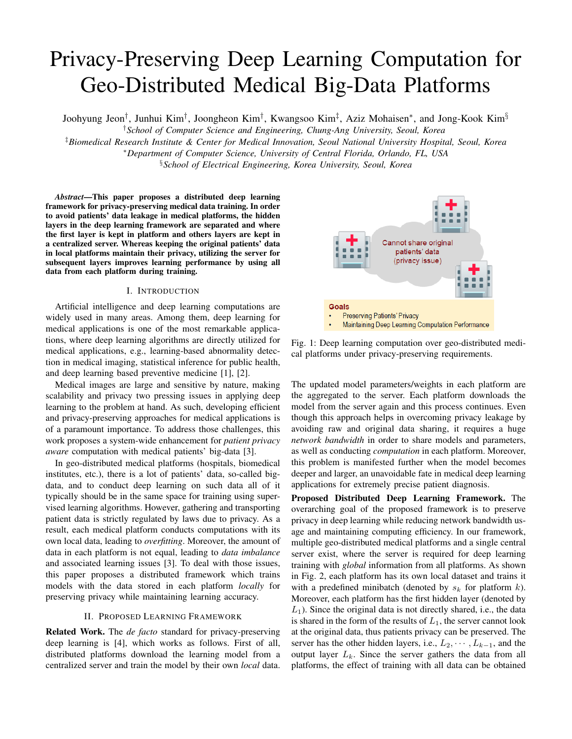# Privacy-Preserving Deep Learning Computation for Geo-Distributed Medical Big-Data Platforms

Joohyung Jeon<sup>†</sup>, Junhui Kim<sup>†</sup>, Joongheon Kim<sup>†</sup>, Kwangsoo Kim<sup>‡</sup>, Aziz Mohaisen\*, and Jong-Kook Kim<sup>§</sup>

†*School of Computer Science and Engineering, Chung-Ang University, Seoul, Korea*

‡*Biomedical Research Institute & Center for Medical Innovation, Seoul National University Hospital, Seoul, Korea*

<sup>∗</sup>*Department of Computer Science, University of Central Florida, Orlando, FL, USA*

§*School of Electrical Engineering, Korea University, Seoul, Korea*

*Abstract*—This paper proposes a distributed deep learning framework for privacy-preserving medical data training. In order to avoid patients' data leakage in medical platforms, the hidden layers in the deep learning framework are separated and where the first layer is kept in platform and others layers are kept in a centralized server. Whereas keeping the original patients' data in local platforms maintain their privacy, utilizing the server for subsequent layers improves learning performance by using all data from each platform during training.

# I. INTRODUCTION

Artificial intelligence and deep learning computations are widely used in many areas. Among them, deep learning for medical applications is one of the most remarkable applications, where deep learning algorithms are directly utilized for medical applications, e.g., learning-based abnormality detection in medical imaging, statistical inference for public health, and deep learning based preventive medicine [1], [2].

Medical images are large and sensitive by nature, making scalability and privacy two pressing issues in applying deep learning to the problem at hand. As such, developing efficient and privacy-preserving approaches for medical applications is of a paramount importance. To address those challenges, this work proposes a system-wide enhancement for *patient privacy aware* computation with medical patients' big-data [3].

In geo-distributed medical platforms (hospitals, biomedical institutes, etc.), there is a lot of patients' data, so-called bigdata, and to conduct deep learning on such data all of it typically should be in the same space for training using supervised learning algorithms. However, gathering and transporting patient data is strictly regulated by laws due to privacy. As a result, each medical platform conducts computations with its own local data, leading to *overfitting*. Moreover, the amount of data in each platform is not equal, leading to *data imbalance* and associated learning issues [3]. To deal with those issues, this paper proposes a distributed framework which trains models with the data stored in each platform *locally* for preserving privacy while maintaining learning accuracy.

## II. PROPOSED LEARNING FRAMEWORK

Related Work. The *de facto* standard for privacy-preserving deep learning is [4], which works as follows. First of all, distributed platforms download the learning model from a centralized server and train the model by their own *local* data.



Fig. 1: Deep learning computation over geo-distributed medical platforms under privacy-preserving requirements.

The updated model parameters/weights in each platform are the aggregated to the server. Each platform downloads the model from the server again and this process continues. Even though this approach helps in overcoming privacy leakage by avoiding raw and original data sharing, it requires a huge *network bandwidth* in order to share models and parameters, as well as conducting *computation* in each platform. Moreover, this problem is manifested further when the model becomes deeper and larger, an unavoidable fate in medical deep learning applications for extremely precise patient diagnosis.

Proposed Distributed Deep Learning Framework. The overarching goal of the proposed framework is to preserve privacy in deep learning while reducing network bandwidth usage and maintaining computing efficiency. In our framework, multiple geo-distributed medical platforms and a single central server exist, where the server is required for deep learning training with *global* information from all platforms. As shown in Fig. 2, each platform has its own local dataset and trains it with a predefined minibatch (denoted by  $s_k$  for platform  $k$ ). Moreover, each platform has the first hidden layer (denoted by  $L_1$ ). Since the original data is not directly shared, i.e., the data is shared in the form of the results of  $L_1$ , the server cannot look at the original data, thus patients privacy can be preserved. The server has the other hidden layers, i.e.,  $L_2, \cdots, L_{k-1}$ , and the output layer  $L_k$ . Since the server gathers the data from all platforms, the effect of training with all data can be obtained